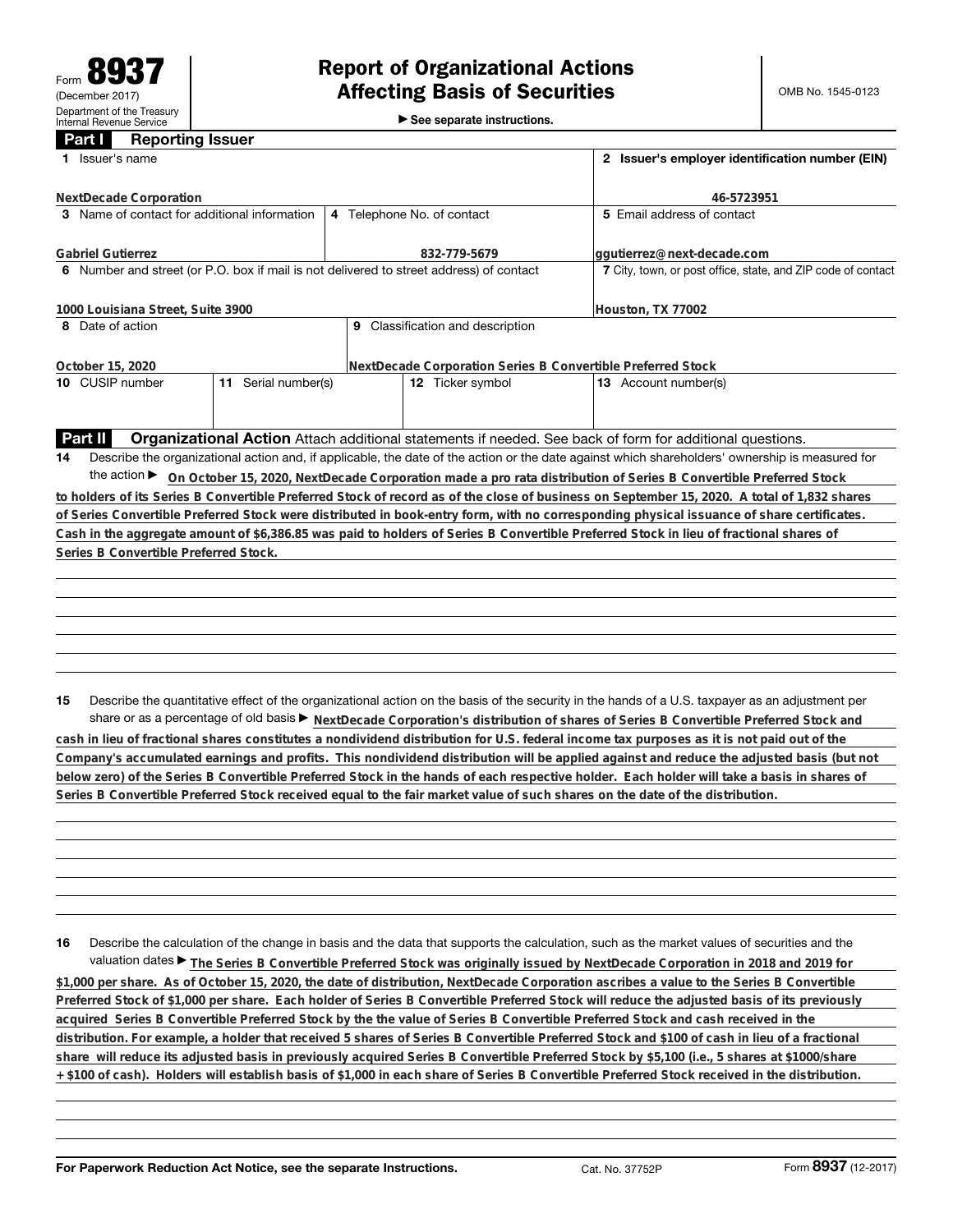►<br>► See separate instructions.

## **Part I Reporting Issuer**

| 1 Issuer's name                                                                         |                     | 2 Issuer's employer identification number (EIN)              |                                                                                                                                                 |
|-----------------------------------------------------------------------------------------|---------------------|--------------------------------------------------------------|-------------------------------------------------------------------------------------------------------------------------------------------------|
| NextDecade Corporation                                                                  |                     | 46-5723951                                                   |                                                                                                                                                 |
| 3 Name of contact for additional information                                            |                     | 4 Telephone No. of contact                                   | 5 Email address of contact                                                                                                                      |
| <b>Gabriel Gutierrez</b>                                                                |                     | 832-779-5679                                                 | qqutierrez@next-decade.com                                                                                                                      |
| 6 Number and street (or P.O. box if mail is not delivered to street address) of contact |                     | 7 City, town, or post office, state, and ZIP code of contact |                                                                                                                                                 |
| 1000 Louisiana Street, Suite 3900                                                       |                     | Houston, TX 77002                                            |                                                                                                                                                 |
| 8 Date of action                                                                        |                     | 9 Classification and description                             |                                                                                                                                                 |
| October 15, 2020                                                                        |                     |                                                              | NextDecade Corporation Series B Convertible Preferred Stock                                                                                     |
| 10 CUSIP number                                                                         | 11 Serial number(s) | 12 Ticker symbol                                             | 13 Account number(s)                                                                                                                            |
|                                                                                         |                     |                                                              |                                                                                                                                                 |
| Part II                                                                                 |                     |                                                              | Organizational Action Attach additional statements if needed. See back of form for additional questions.                                        |
| 14                                                                                      |                     |                                                              | Describe the organizational action and, if applicable, the date of the action or the date against which shareholders' ownership is measured for |
|                                                                                         |                     |                                                              | the action ► On October 15, 2020, NextDecade Corporation made a pro rata distribution of Series B Convertible Preferred Stock                   |
|                                                                                         |                     |                                                              | to holders of its Series B Convertible Preferred Stock of record as of the close of business on September 15, 2020. A total of 1,832 shares     |
|                                                                                         |                     |                                                              | of Series Convertible Preferred Stock were distributed in book-entry form, with no corresponding physical issuance of share certificates.       |
|                                                                                         |                     |                                                              | Cash in the aggregate amount of \$6,386.85 was paid to holders of Series B Convertible Preferred Stock in lieu of fractional shares of          |
| Series B Convertible Preferred Stock.                                                   |                     |                                                              |                                                                                                                                                 |
|                                                                                         |                     |                                                              |                                                                                                                                                 |
|                                                                                         |                     |                                                              |                                                                                                                                                 |
|                                                                                         |                     |                                                              |                                                                                                                                                 |
|                                                                                         |                     |                                                              |                                                                                                                                                 |
|                                                                                         |                     |                                                              |                                                                                                                                                 |
|                                                                                         |                     |                                                              |                                                                                                                                                 |
| 15                                                                                      |                     |                                                              | Describe the quantitative effect of the organizational action on the basis of the security in the hands of a U.S. taxpayer as an adjustment per |
|                                                                                         |                     |                                                              | share or as a percentage of old basis > NextDecade Corporation's distribution of shares of Series B Convertible Preferred Stock and             |
|                                                                                         |                     |                                                              | cash in lieu of fractional shares constitutes a nondividend distribution for U.S. federal income tax purposes as it is not paid out of the      |
|                                                                                         |                     |                                                              | Company's accumulated earnings and profits. This nondividend distribution will be applied against and reduce the adjusted basis (but not        |

**16** Describe the calculation of the change in basis and the data that supports the calculation, such as the market values of securities and the valuation dates ▶ The Series B Convertible Preferred Stock was originally issued by NextDecade Corporation in 2018 and 2019 for **\$1,000 per share. As of October 15, 2020, the date of distribution, NextDecade Corporation ascribes a value to the Series B Convertible Preferred Stock of \$1,000 per share. Each holder of Series B Convertible Preferred Stock will reduce the adjusted basis of its previously acquired Series B Convertible Preferred Stock by the the value of Series B Convertible Preferred Stock and cash received in the distribution. For example, a holder that received 5 shares of Series B Convertible Preferred Stock and \$100 of cash in lieu of a fractional share will reduce its adjusted basis in previously acquired Series B Convertible Preferred Stock by \$5,100 (i.e., 5 shares at \$1000/share**

**below zero) of the Series B Convertible Preferred Stock in the hands of each respective holder. Each holder will take a basis in shares of**

**Series B Convertible Preferred Stock received equal to the fair market value of such shares on the date of the distribution.**

**+ \$100 of cash). Holders will establish basis of \$1,000 in each share of Series B Convertible Preferred Stock received in the distribution.**